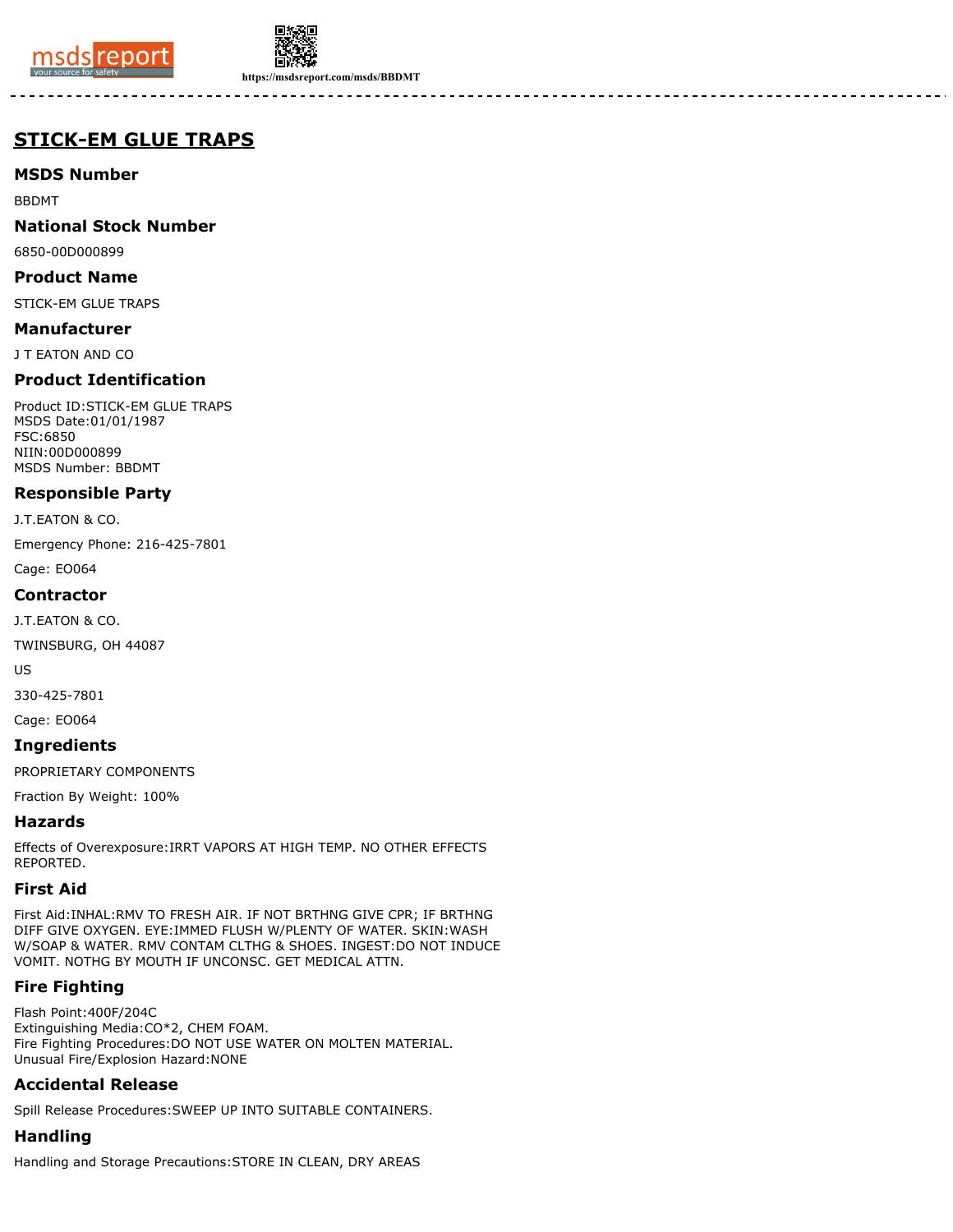



**https://msdsreport.com/msds/BBDMT**

# **STICK-EM GLUE TRAPS**

## **MSDS Number**

BBDMT

## **National Stock Number**

6850-00D000899

#### **Product Name**

STICK-EM GLUE TRAPS

#### **Manufacturer**

J T EATON AND CO

## **Product Identification**

Product ID:STICK-EM GLUE TRAPS MSDS Date:01/01/1987 FSC:6850 NIIN:00D000899 MSDS Number: BBDMT

## **Responsible Party**

J.T.EATON & CO.

Emergency Phone: 216-425-7801

Cage: EO064

#### **Contractor**

J.T.EATON & CO.

TWINSBURG, OH 44087

US

330-425-7801

Cage: EO064

#### **Ingredients**

PROPRIETARY COMPONENTS

Fraction By Weight: 100%

#### **Hazards**

Effects of Overexposure:IRRT VAPORS AT HIGH TEMP. NO OTHER EFFECTS REPORTED.

## **First Aid**

First Aid:INHAL:RMV TO FRESH AIR. IF NOT BRTHNG GIVE CPR; IF BRTHNG DIFF GIVE OXYGEN. EYE:IMMED FLUSH W/PLENTY OF WATER. SKIN:WASH W/SOAP & WATER. RMV CONTAM CLTHG & SHOES. INGEST:DO NOT INDUCE VOMIT. NOTHG BY MOUTH IF UNCONSC. GET MEDICAL ATTN.

## **Fire Fighting**

Flash Point:400F/204C Extinguishing Media:CO\*2, CHEM FOAM. Fire Fighting Procedures:DO NOT USE WATER ON MOLTEN MATERIAL. Unusual Fire/Explosion Hazard:NONE

## **Accidental Release**

Spill Release Procedures:SWEEP UP INTO SUITABLE CONTAINERS.

## **Handling**

Handling and Storage Precautions:STORE IN CLEAN, DRY AREAS